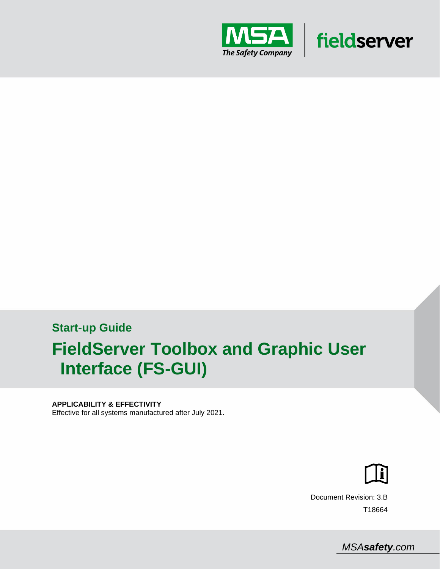

## **Start-up Guide FieldServer Toolbox and Graphic User Interface (FS-GUI)**

#### **APPLICABILITY & EFFECTIVITY**

Effective for all systems manufactured after July 2021.



fieldserver

Document Revision: 3.B T18664

 *MSAsafety.com*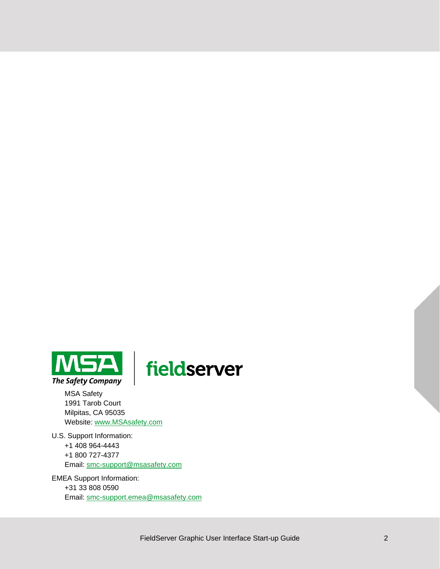

# fieldserver

MSA Safety 1991 Tarob Court Milpitas, CA 95035 Website: [www.MSAsafety.com](http://www.msasafety.com/)

U.S. Support Information: +1 408 964-4443 +1 800 727-4377 Email: [smc-support@msasafety.com](mailto:smc-support@msasafety.com)

EMEA Support Information: +31 33 808 0590 Email: [smc-support.emea@msasafety.com](mailto:smc-support.emea@msasafety.com)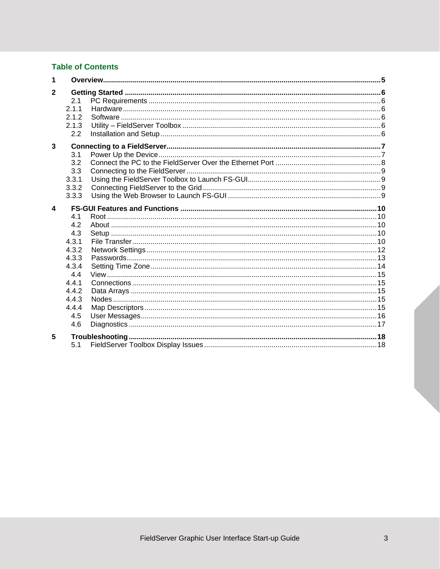## **Table of Contents**

| 1            |                                       |  |
|--------------|---------------------------------------|--|
| $\mathbf{2}$ | 2.1<br>2.1.1<br>2.1.2<br>2.1.3<br>2.2 |  |
| 3            |                                       |  |
|              | 3.1                                   |  |
|              | 3.2                                   |  |
|              | 3.3                                   |  |
|              | 3.3.1                                 |  |
|              | 3.3.2                                 |  |
|              | 3.3.3                                 |  |
| 4            |                                       |  |
|              | 4.1                                   |  |
|              | 4.2                                   |  |
|              | 4.3                                   |  |
|              | 4.3.1                                 |  |
|              | 4.3.2                                 |  |
|              | 4.3.3                                 |  |
|              | 4.3.4                                 |  |
|              | 4.4                                   |  |
|              | 4.4.1                                 |  |
|              | 4.4.2                                 |  |
|              | 4.4.3                                 |  |
|              | 4.4.4                                 |  |
|              | 4.5<br>4.6                            |  |
|              |                                       |  |
| 5            |                                       |  |
|              | 5.1                                   |  |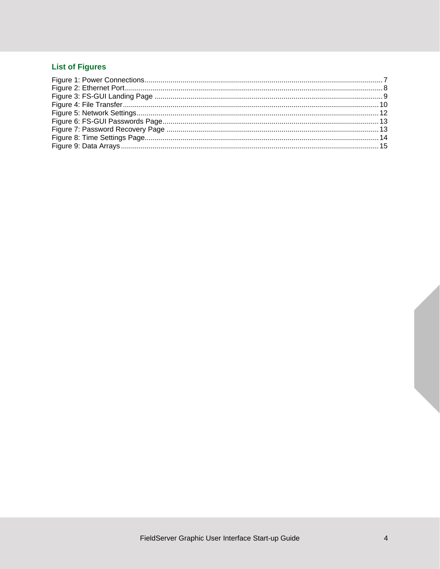## **List of Figures**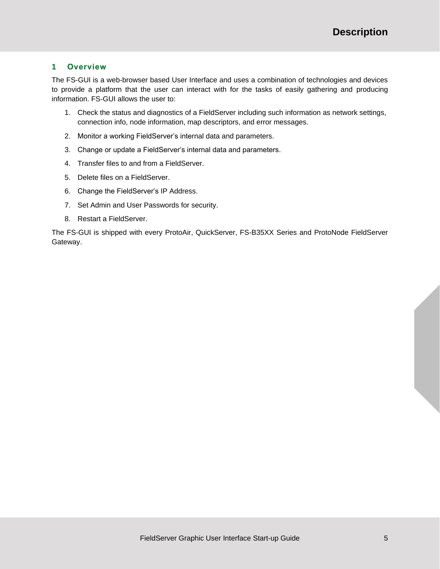#### <span id="page-4-0"></span>**1 Overview**

The FS-GUI is a web-browser based User Interface and uses a combination of technologies and devices to provide a platform that the user can interact with for the tasks of easily gathering and producing information. FS-GUI allows the user to:

- 1. Check the status and diagnostics of a FieldServer including such information as network settings, connection info, node information, map descriptors, and error messages.
- 2. Monitor a working FieldServer's internal data and parameters.
- 3. Change or update a FieldServer's internal data and parameters.
- 4. Transfer files to and from a FieldServer.
- 5. Delete files on a FieldServer.
- 6. Change the FieldServer's IP Address.
- 7. Set Admin and User Passwords for security.
- 8. Restart a FieldServer.

The FS-GUI is shipped with every ProtoAir, QuickServer, FS-B35XX Series and ProtoNode FieldServer Gateway.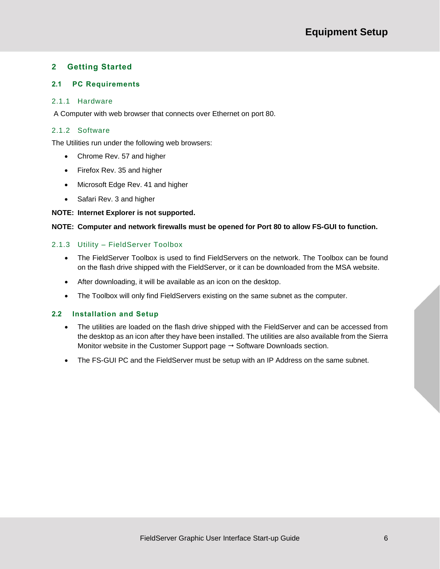## <span id="page-5-0"></span>**2 Getting Started**

#### <span id="page-5-1"></span>**2.1 PC Requirements**

#### <span id="page-5-2"></span>2.1.1 Hardware

A Computer with web browser that connects over Ethernet on port 80.

#### <span id="page-5-3"></span>2.1.2 Software

The Utilities run under the following web browsers:

- Chrome Rev. 57 and higher
- Firefox Rev. 35 and higher
- Microsoft Edge Rev. 41 and higher
- Safari Rev. 3 and higher

#### **NOTE: Internet Explorer is not supported.**

#### **NOTE: Computer and network firewalls must be opened for Port 80 to allow FS-GUI to function.**

#### <span id="page-5-4"></span>2.1.3 Utility – FieldServer Toolbox

- The FieldServer Toolbox is used to find FieldServers on the network. The Toolbox can be found on the flash drive shipped with the FieldServer, or it can be downloaded from the MSA website.
- After downloading, it will be available as an icon on the desktop.
- The Toolbox will only find FieldServers existing on the same subnet as the computer.

#### <span id="page-5-5"></span>**2.2 Installation and Setup**

- The utilities are loaded on the flash drive shipped with the FieldServer and can be accessed from the desktop as an icon after they have been installed. The utilities are also available from the Sierra Monitor website in the Customer Support page  $\rightarrow$  Software Downloads section.
- The FS-GUI PC and the FieldServer must be setup with an IP Address on the same subnet.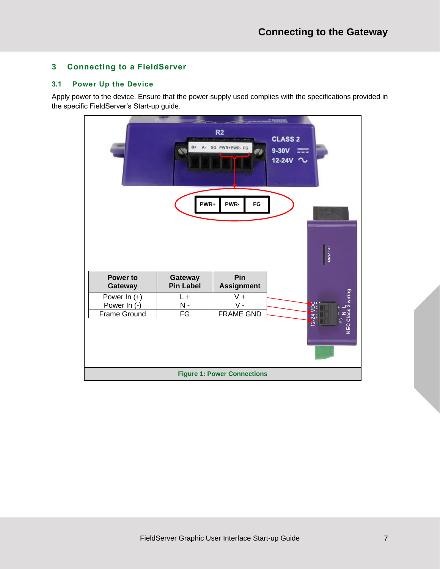## <span id="page-6-0"></span>**3 Connecting to a FieldServer**

#### <span id="page-6-1"></span>**3.1 Power Up the Device**

Apply power to the device. Ensure that the power supply used complies with the specifications provided in the specific FieldServer's Start-up guide.

<span id="page-6-2"></span>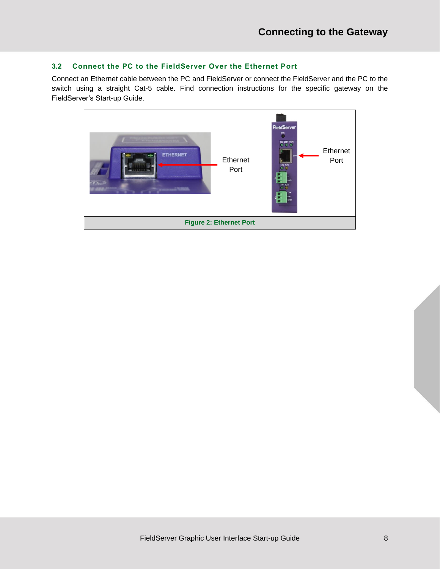## <span id="page-7-0"></span>**3.2 Connect the PC to the FieldServer Over the Ethernet Port**

Connect an Ethernet cable between the PC and FieldServer or connect the FieldServer and the PC to the switch using a straight Cat-5 cable. Find connection instructions for the specific gateway on the FieldServer's Start-up Guide.

<span id="page-7-1"></span>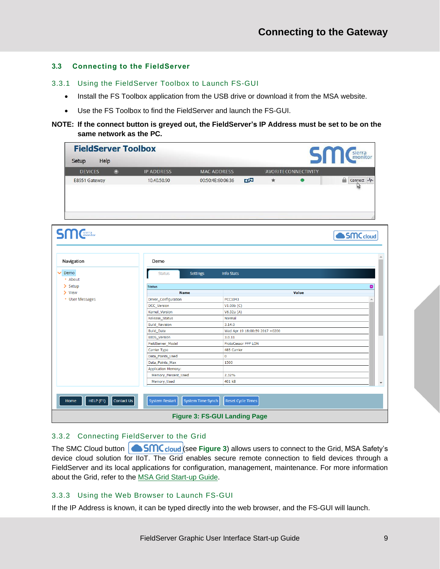#### <span id="page-8-0"></span>**3.3 Connecting to the FieldServer**

- <span id="page-8-1"></span>3.3.1 Using the FieldServer Toolbox to Launch FS-GUI
	- Install the FS Toolbox application from the USB drive or download it from the MSA website.
	- Use the FS Toolbox to find the FieldServer and launch the FS-GUI.
- **NOTE: If the connect button is greyed out, the FieldServer's IP Address must be set to be on the same network as the PC.**

|                       | <b>FieldServer Toolbox</b> |                    |                                |         |                             | <b>SM</b> Cherra     |
|-----------------------|----------------------------|--------------------|--------------------------------|---------|-----------------------------|----------------------|
| Help<br>Setup         |                            |                    |                                |         |                             |                      |
| o<br><b>DEVICES</b>   | <b>IP ADDRESS</b>          | <b>MAC ADDRESS</b> |                                |         | <b>AVORITE CONNECTIVITY</b> |                      |
| E8951 Gateway         | 10.40.50.90                | 00:50:4E:60:06:36  | 政知                             | $\star$ | ٠                           | Connect -            |
|                       |                            |                    |                                |         |                             |                      |
| <b>SM</b> Sierra      |                            |                    |                                |         |                             | SMC <sub>cloud</sub> |
| Navigation            | Demo                       |                    |                                |         |                             |                      |
| Demo                  | <b>Status</b>              | <b>Settings</b>    | <b>Info Stats</b>              |         |                             |                      |
| * About               |                            |                    |                                |         |                             |                      |
| $\sum$ Setup          | <b>Status</b>              |                    |                                |         |                             | ۰                    |
| $\triangleright$ View | <b>Name</b>                |                    |                                |         | Value                       |                      |
| • User Messages       | Driver_Configuration       |                    | PCC1043                        |         |                             |                      |
|                       | DCC_Version                |                    | V1.00b(C)                      |         |                             |                      |
|                       | Kernel_Version             |                    | V6.32a(A)                      |         |                             |                      |
|                       | Release_Status             |                    | Normal                         |         |                             |                      |
|                       | <b>Build_Revision</b>      |                    | 3.14.0                         |         |                             |                      |
|                       | <b>Build_Date</b>          |                    | Wed Apr 19 18:00:59 2017 +0200 |         |                             |                      |
|                       | <b>BIOS_Version</b>        |                    | 3.0.11                         |         |                             |                      |
|                       | FieldServer_Model          |                    | ProtoCessor FFP LON            |         |                             |                      |
|                       | Carrier Type               |                    | 485 Carrier                    |         |                             |                      |
|                       | Data_Points_Used           | $\bf{0}$           |                                |         |                             |                      |
|                       | Data_Points_Max            |                    | 1500                           |         |                             |                      |
|                       | <b>Application Memory:</b> |                    |                                |         |                             |                      |
|                       | Memory_Percent_Used        |                    | 2.32%                          |         |                             |                      |
|                       |                            |                    |                                |         |                             |                      |
|                       | Memory_Used                |                    | 401 kB                         |         |                             |                      |

#### <span id="page-8-4"></span><span id="page-8-2"></span>3.3.2 Connecting FieldServer to the Grid

The SMC Cloud button **6 SMC** cloud (see [Figure 3](#page-8-4)) allows users to connect to the Grid, MSA Safety's device cloud solution for IIoT. The Grid enables secure remote connection to field devices through a FieldServer and its local applications for configuration, management, maintenance. For more information about the Grid, refer to the [MSA Grid Start-up Guide.](https://msa.webdamdb.com/directdownload.php?ti=45066831&tok=q3ZjqWrR7AorKoGYy4rdeARR)

#### <span id="page-8-3"></span>3.3.3 Using the Web Browser to Launch FS-GUI

If the IP Address is known, it can be typed directly into the web browser, and the FS-GUI will launch.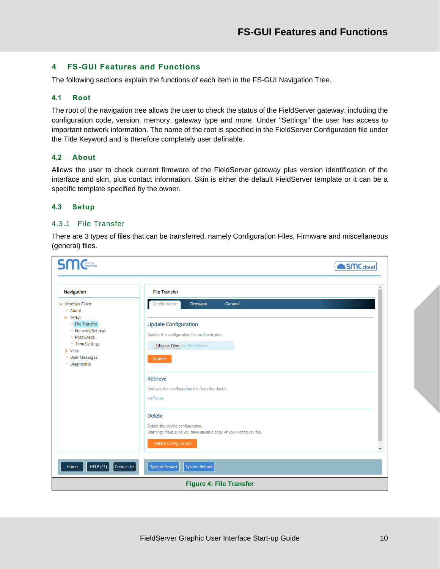#### <span id="page-9-0"></span>**4 FS-GUI Features and Functions**

The following sections explain the functions of each item in the FS-GUI Navigation Tree.

#### <span id="page-9-1"></span>**4.1 Root**

The root of the navigation tree allows the user to check the status of the FieldServer gateway, including the configuration code, version, memory, gateway type and more. Under "Settings" the user has access to important network information. The name of the root is specified in the FieldServer Configuration file under the Title Keyword and is therefore completely user definable.

#### <span id="page-9-2"></span>**4.2 About**

Allows the user to check current firmware of the FieldServer gateway plus version identification of the interface and skin, plus contact information. Skin is either the default FieldServer template or it can be a specific template specified by the owner.

#### <span id="page-9-3"></span>**4.3 Setup**

#### <span id="page-9-4"></span>4.3.1 File Transfer

There are 3 types of files that can be transferred, namely Configuration Files, Firmware and miscellaneous (general) files.

<span id="page-9-5"></span>

| <b>File Transfer</b><br>Navigation<br><b>Modbus Client</b><br>Configuration<br>General<br>Firmware                                                                                                                                                                                                                                                                                                                                                                                                                             |
|--------------------------------------------------------------------------------------------------------------------------------------------------------------------------------------------------------------------------------------------------------------------------------------------------------------------------------------------------------------------------------------------------------------------------------------------------------------------------------------------------------------------------------|
| * About<br>$\vee$ Setup<br>• File Transfer<br><b>Update Configuration</b><br>• Network Settings<br>Update the configuration file on the device.<br>• Passwords<br>• Time Settings<br>Choose Files No file chosen<br>$\triangleright$ View<br>• User Messages<br>Submit<br>• Diagnostics<br>Retrieve<br>Retrieve the configuration file from the device.<br>config.csv<br><b>Delete</b><br>Delete the device configuration.<br>Warning: Make sure you have saved a copy of your config.csv file.<br><b>Delete Configuration</b> |
| HELP (F1)<br>Contact Us<br><b>System Reboot</b><br><b>System Restart</b><br>Home<br><b>Figure 4: File Transfer</b>                                                                                                                                                                                                                                                                                                                                                                                                             |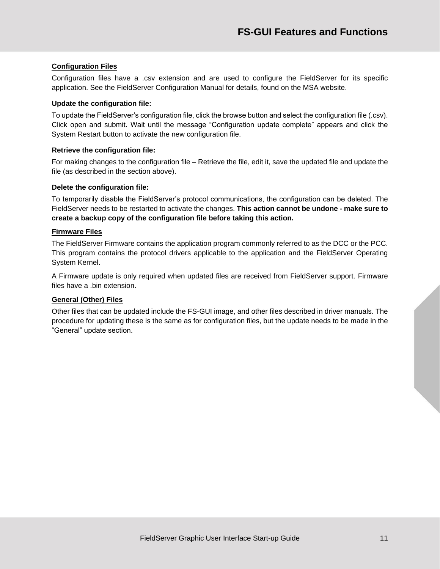#### **Configuration Files**

Configuration files have a .csv extension and are used to configure the FieldServer for its specific application. See the FieldServer Configuration Manual for details, found on the MSA website.

#### **Update the configuration file:**

To update the FieldServer's configuration file, click the browse button and select the configuration file (.csv). Click open and submit. Wait until the message "Configuration update complete" appears and click the System Restart button to activate the new configuration file.

#### **Retrieve the configuration file:**

For making changes to the configuration file – Retrieve the file, edit it, save the updated file and update the file (as described in the section above).

#### **Delete the configuration file:**

To temporarily disable the FieldServer's protocol communications, the configuration can be deleted. The FieldServer needs to be restarted to activate the changes. **This action cannot be undone - make sure to create a backup copy of the configuration file before taking this action.**

#### **Firmware Files**

The FieldServer Firmware contains the application program commonly referred to as the DCC or the PCC. This program contains the protocol drivers applicable to the application and the FieldServer Operating System Kernel.

A Firmware update is only required when updated files are received from FieldServer support. Firmware files have a .bin extension.

#### **General (Other) Files**

Other files that can be updated include the FS-GUI image, and other files described in driver manuals. The procedure for updating these is the same as for configuration files, but the update needs to be made in the "General" update section.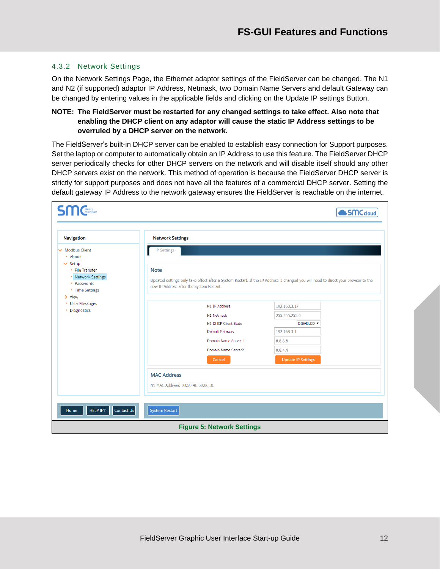#### <span id="page-11-0"></span>4.3.2 Network Settings

On the Network Settings Page, the Ethernet adaptor settings of the FieldServer can be changed. The N1 and N2 (if supported) adaptor IP Address, Netmask, two Domain Name Servers and default Gateway can be changed by entering values in the applicable fields and clicking on the Update IP settings Button.

#### **NOTE: The FieldServer must be restarted for any changed settings to take effect. Also note that enabling the DHCP client on any adaptor will cause the static IP Address settings to be overruled by a DHCP server on the network.**

The FieldServer's built-in DHCP server can be enabled to establish easy connection for Support purposes. Set the laptop or computer to automatically obtain an IP Address to use this feature. The FieldServer DHCP server periodically checks for other DHCP servers on the network and will disable itself should any other DHCP servers exist on the network. This method of operation is because the FieldServer DHCP server is strictly for support purposes and does not have all the features of a commercial DHCP server. Setting the default gateway IP Address to the network gateway ensures the FieldServer is reachable on the internet.

<span id="page-11-1"></span>

| <b>SM</b> Cherra                                                                                                 |                                   |                                                                                                                                                                                |                           | SMC cloud |  |  |  |
|------------------------------------------------------------------------------------------------------------------|-----------------------------------|--------------------------------------------------------------------------------------------------------------------------------------------------------------------------------|---------------------------|-----------|--|--|--|
| Navigation                                                                                                       | <b>Network Settings</b>           |                                                                                                                                                                                |                           |           |  |  |  |
| <b>Modbus Client</b><br>* About                                                                                  | <b>IP Settings</b>                |                                                                                                                                                                                |                           |           |  |  |  |
| $\vee$ Setup<br>• File Transfer<br>• Network Settings<br>• Passwords<br>• Time Settings<br>$\triangleright$ View | <b>Note</b>                       | Updated settings only take effect after a System Restart. If the IP Address is changed you will need to direct your browser to the<br>new IP Address after the System Restart. |                           |           |  |  |  |
| • User Messages                                                                                                  |                                   | N1 IP Address                                                                                                                                                                  | 192.168.3.17              |           |  |  |  |
| • Diagnostics                                                                                                    |                                   | N1 Netmask                                                                                                                                                                     | 255.255.255.0             |           |  |  |  |
|                                                                                                                  |                                   | <b>N1 DHCP Client State</b>                                                                                                                                                    | DISABLED v                |           |  |  |  |
|                                                                                                                  |                                   | <b>Default Gateway</b>                                                                                                                                                         | 192.168.3.1               |           |  |  |  |
|                                                                                                                  |                                   | Domain Name Server1                                                                                                                                                            | 8.8.8.8                   |           |  |  |  |
|                                                                                                                  |                                   | Domain Name Server2                                                                                                                                                            | 8.8.4.4                   |           |  |  |  |
|                                                                                                                  |                                   | Cancel                                                                                                                                                                         | <b>Update IP Settings</b> |           |  |  |  |
|                                                                                                                  | <b>MAC Address</b>                |                                                                                                                                                                                |                           |           |  |  |  |
|                                                                                                                  | N1 MAC Address: 00:50:4E:60:06:3C |                                                                                                                                                                                |                           |           |  |  |  |
|                                                                                                                  |                                   |                                                                                                                                                                                |                           |           |  |  |  |
| HELP (F1)<br>Contact Us<br>Home                                                                                  | <b>System Restart</b>             |                                                                                                                                                                                |                           |           |  |  |  |
|                                                                                                                  |                                   | <b>Figure 5: Network Settings</b>                                                                                                                                              |                           |           |  |  |  |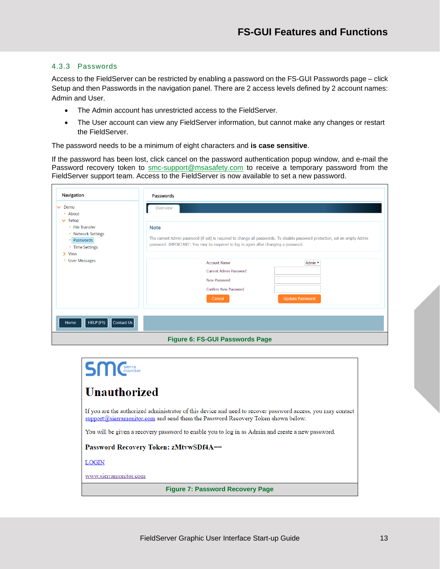#### <span id="page-12-0"></span>4.3.3 Passwords

Access to the FieldServer can be restricted by enabling a password on the FS-GUI Passwords page – click Setup and then Passwords in the navigation panel. There are 2 access levels defined by 2 account names: Admin and User.

- The Admin account has unrestricted access to the FieldServer.
- The User account can view any FieldServer information, but cannot make any changes or restart the FieldServer.

The password needs to be a minimum of eight characters and **is case sensitive**.

If the password has been lost, click cancel on the password authentication popup window, and e-mail the Password recovery token to [smc-support@msasafety.com](mailto:smc-support@msasafety.com) to receive a temporary password from the FieldServer support team. Access to the FieldServer is now available to set a new password.

| Navigation<br>Demo<br>$\checkmark$<br>* About                                                                  | Passwords<br>Overview                                                                                                                                                                                                             |                        |  |  |  |  |
|----------------------------------------------------------------------------------------------------------------|-----------------------------------------------------------------------------------------------------------------------------------------------------------------------------------------------------------------------------------|------------------------|--|--|--|--|
| $\vee$ Setup<br>• File Transfer<br>• Network Settings<br>Passwords<br>• Time Settings<br>$\triangleright$ View | <b>Note</b><br>The current Admin password (if set) is required to change all passwords. To disable password protection, set an empty Admin<br>password. IMPORTANT: You may be required to log in again after changing a password. |                        |  |  |  |  |
| <b>User Messages</b><br>٠                                                                                      | <b>Account Name</b>                                                                                                                                                                                                               | Admin v                |  |  |  |  |
|                                                                                                                | <b>Current Admin Password</b>                                                                                                                                                                                                     |                        |  |  |  |  |
|                                                                                                                | <b>New Password</b>                                                                                                                                                                                                               |                        |  |  |  |  |
|                                                                                                                | <b>Confirm New Password</b>                                                                                                                                                                                                       |                        |  |  |  |  |
|                                                                                                                | Cancel                                                                                                                                                                                                                            | <b>Update Password</b> |  |  |  |  |
|                                                                                                                |                                                                                                                                                                                                                                   |                        |  |  |  |  |
| Contact Us<br>HELP (F1)<br>Home                                                                                |                                                                                                                                                                                                                                   |                        |  |  |  |  |
|                                                                                                                | <b>Figure 6: FS-GUI Passwords Page</b>                                                                                                                                                                                            |                        |  |  |  |  |

<span id="page-12-2"></span><span id="page-12-1"></span>

| <b>SM</b> Cherra                                                                                                                                                                                |  |  |  |  |  |
|-------------------------------------------------------------------------------------------------------------------------------------------------------------------------------------------------|--|--|--|--|--|
| <b>Unauthorized</b>                                                                                                                                                                             |  |  |  |  |  |
| If you are the authorized administrator of this device and need to recover password access, you may contact<br>support@sierramonitor.com and send them the Password Recovery Token shown below. |  |  |  |  |  |
| You will be given a recovery password to enable you to log in as Admin and create a new password.                                                                                               |  |  |  |  |  |
| <b>Password Recovery Token: zMtvwSDf4A==</b>                                                                                                                                                    |  |  |  |  |  |
| <b>LOGIN</b>                                                                                                                                                                                    |  |  |  |  |  |
| www.sierramonitor.com                                                                                                                                                                           |  |  |  |  |  |
| <b>Figure 7: Password Recovery Page</b>                                                                                                                                                         |  |  |  |  |  |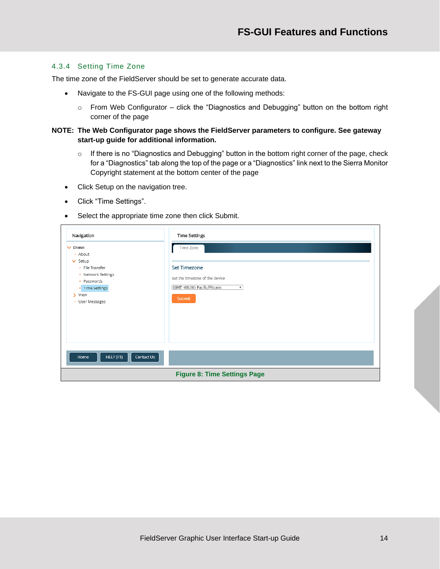#### <span id="page-13-0"></span>4.3.4 Setting Time Zone

The time zone of the FieldServer should be set to generate accurate data.

- Navigate to the FS-GUI page using one of the following methods:
	- o From Web Configurator click the "Diagnostics and Debugging" button on the bottom right corner of the page
- **NOTE: The Web Configurator page shows the FieldServer parameters to configure. See gateway start-up guide for additional information.**
	- o If there is no "Diagnostics and Debugging" button in the bottom right corner of the page, check for a "Diagnostics" tab along the top of the page or a "Diagnostics" link next to the Sierra Monitor Copyright statement at the bottom center of the page
	- Click Setup on the navigation tree.
	- Click "Time Settings".
	- Select the appropriate time zone then click Submit.

<span id="page-13-1"></span>

| Time Zone<br>Demo<br>$\checkmark$<br>• About<br>$\vee$ Setup<br><b>Set Timezone</b><br>• File Transfer<br>• Network Settings<br>Set the timezone of the device<br>• Passwords<br>(GMT -08:00) Pacific/Pitcairn<br>• Time Settings<br>> View<br>Submit<br>• User Messages | Navigation | <b>Time Settings</b> |
|--------------------------------------------------------------------------------------------------------------------------------------------------------------------------------------------------------------------------------------------------------------------------|------------|----------------------|
|                                                                                                                                                                                                                                                                          |            |                      |
| Contact Us<br>HELP (F1)<br>Home<br><b>Figure 8: Time Settings Page</b>                                                                                                                                                                                                   |            |                      |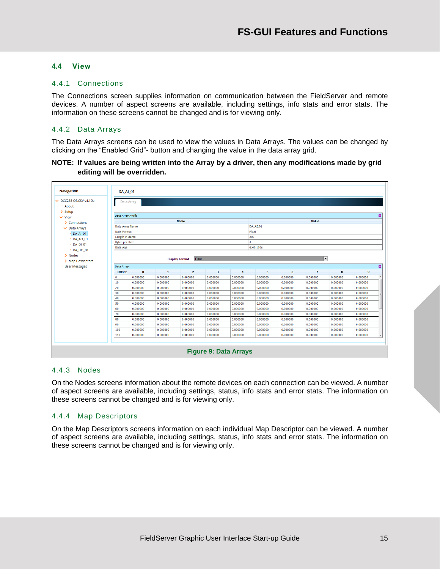#### <span id="page-14-0"></span>**4.4 View**

#### <span id="page-14-1"></span>4.4.1 Connections

The Connections screen supplies information on communication between the FieldServer and remote devices. A number of aspect screens are available, including settings, info stats and error stats. The information on these screens cannot be changed and is for viewing only.

#### <span id="page-14-2"></span>4.4.2 Data Arrays

The Data Arrays screens can be used to view the values in Data Arrays. The values can be changed by clicking on the "Enabled Grid"- button and changing the value in the data array grid.

#### **NOTE: If values are being written into the Array by a driver, then any modifications made by grid editing will be overridden.**



#### <span id="page-14-5"></span><span id="page-14-3"></span>4.4.3 Nodes

On the Nodes screens information about the remote devices on each connection can be viewed. A number of aspect screens are available, including settings, status, info stats and error stats. The information on these screens cannot be changed and is for viewing only.

#### <span id="page-14-4"></span>4.4.4 Map Descriptors

On the Map Descriptors screens information on each individual Map Descriptor can be viewed. A number of aspect screens are available, including settings, status, info stats and error stats. The information on these screens cannot be changed and is for viewing only.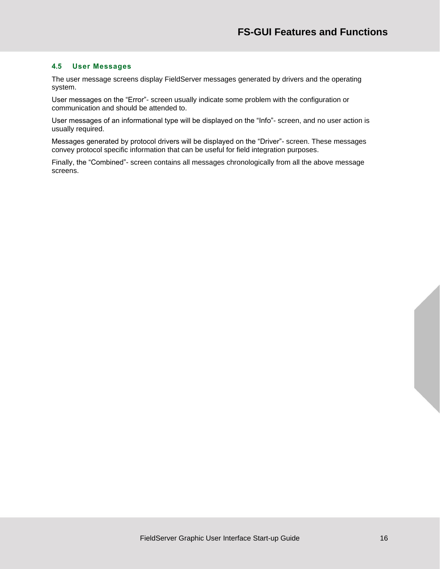#### <span id="page-15-0"></span>**4.5 User Messages**

The user message screens display FieldServer messages generated by drivers and the operating system.

User messages on the "Error"- screen usually indicate some problem with the configuration or communication and should be attended to.

User messages of an informational type will be displayed on the "Info"- screen, and no user action is usually required.

Messages generated by protocol drivers will be displayed on the "Driver"- screen. These messages convey protocol specific information that can be useful for field integration purposes.

Finally, the "Combined"- screen contains all messages chronologically from all the above message screens.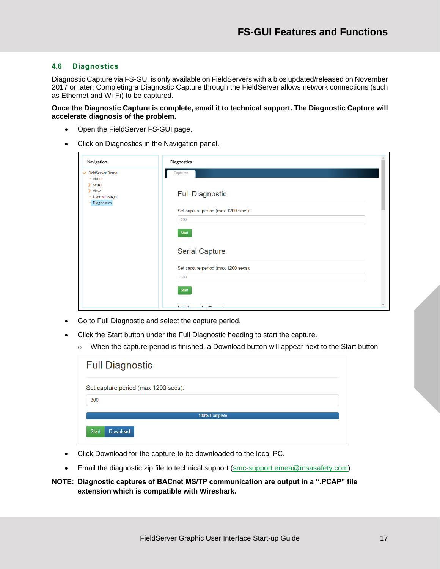#### <span id="page-16-0"></span>**4.6 Diagnostics**

Diagnostic Capture via FS-GUI is only available on FieldServers with a bios updated/released on November 2017 or later. Completing a Diagnostic Capture through the FieldServer allows network connections (such as Ethernet and Wi-Fi) to be captured.

**Once the Diagnostic Capture is complete, email it to technical support. The Diagnostic Capture will accelerate diagnosis of the problem.**

- Open the FieldServer FS-GUI page.
- Click on Diagnostics in the Navigation panel.

| Navigation                                              | Diagnostics                                                    |
|---------------------------------------------------------|----------------------------------------------------------------|
| <b>V</b> FieldServer Demo<br>* About<br>$\sum$ Setup    | Captures                                                       |
| $\triangleright$ View<br>• User Messages<br>Diagnostics | <b>Full Diagnostic</b>                                         |
|                                                         | Set capture period (max 1200 secs):                            |
|                                                         | 300                                                            |
|                                                         | <b>Start</b>                                                   |
|                                                         | <b>Serial Capture</b>                                          |
|                                                         | Set capture period (max 1200 secs):                            |
|                                                         | 300                                                            |
|                                                         | Start                                                          |
|                                                         | $\overline{\phantom{a}}$<br>K. L. G.<br>$\sim$<br>$\mathbf{r}$ |

- Go to Full Diagnostic and select the capture period.
- Click the Start button under the Full Diagnostic heading to start the capture.
	- $\circ$  When the capture period is finished, a Download button will appear next to the Start button

| <b>Full Diagnostic</b>              |  |  |  |  |  |  |
|-------------------------------------|--|--|--|--|--|--|
| Set capture period (max 1200 secs): |  |  |  |  |  |  |
| 300                                 |  |  |  |  |  |  |
| 100% Complete                       |  |  |  |  |  |  |
| <b>Start</b><br>Download            |  |  |  |  |  |  |

- Click Download for the capture to be downloaded to the local PC.
- Email the diagnostic zip file to technical support [\(smc-support.emea@msasafety.com\)](mailto:smc-support.emea@msasafety.com).

#### **NOTE: Diagnostic captures of BACnet MS/TP communication are output in a ".PCAP" file extension which is compatible with Wireshark.**